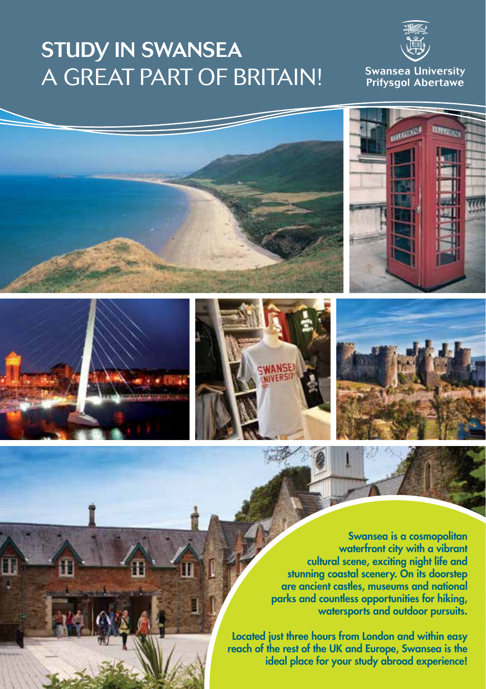## STUDY IN SWANSEA A GREAT PART OF BRITAIN!











Swansea is a cosmopolitan waterfront city with a vibrant cultural scene, exciting night life and stunning coastal scenery. On its doorstep are ancient castles, museums and national parks and countless opportunities for hiking, watersports and outdoor pursuits.

Located just three hours from London and within easy reach of the rest of the UK and Europe, Swansea is the ideal place for your study abroad experience!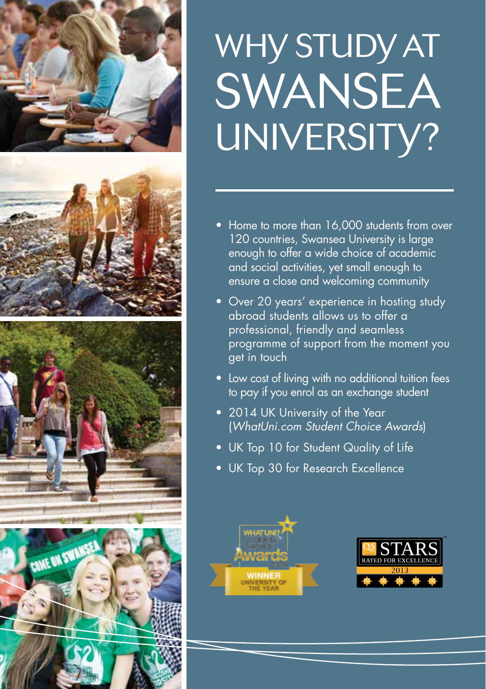







# WHY STUDY AT SWANSEA UNIVERSITY?

- Home to more than 16,000 students from over 120 countries, Swansea University is large enough to offer a wide choice of academic and social activities, yet small enough to ensure a close and welcoming community
- Over 20 years' experience in hosting study abroad students allows us to offer a professional, friendly and seamless programme of support from the moment you get in touch
- Low cost of living with no additional tuition fees to pay if you enrol as an exchange student
- 2014 UK University of the Year (*WhatUni.com Student Choice Awards*)
- UK Top 10 for Student Quality of Life
- UK Top 30 for Research Excellence



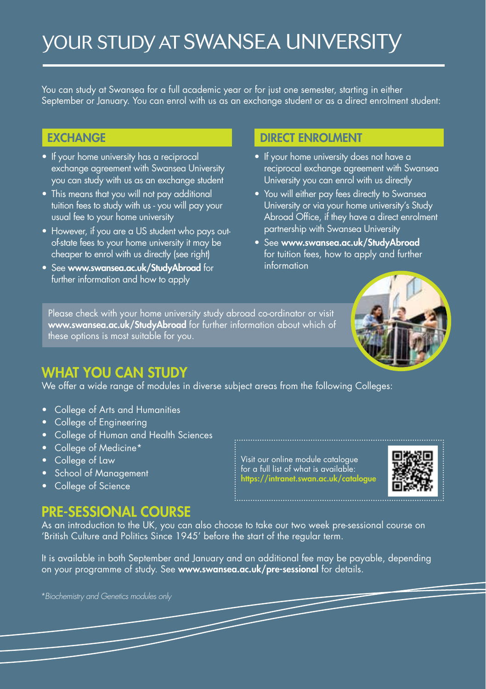## YOUR STUDY AT SWANSEA UNIVERSITY

You can study at Swansea for a full academic year or for just one semester, starting in either September or January. You can enrol with us as an exchange student or as a direct enrolment student:

- If your home university has a reciprocal exchange agreement with Swansea University you can study with us as an exchange student
- This means that you will not pay additional tuition fees to study with us - you will pay your usual fee to your home university
- However, if you are a US student who pays outof-state fees to your home university it may be cheaper to enrol with us directly (see right)
- See www.swansea.ac.uk/StudyAbroad for further information and how to apply

#### EXCHANGE DIRECT ENROLMENT

- If your home university does not have a reciprocal exchange agreement with Swansea University you can enrol with us directly
- You will either pay fees directly to Swansea University or via your home university's Study Abroad Office, if they have a direct enrolment partnership with Swansea University
- See www.swansea.ac.uk/StudyAbroad for tuition fees, how to apply and further information



Please check with your home university study abroad co-ordinator or visit www.swansea.ac.uk/StudyAbroad for further information about which of these options is most suitable for you.

## WHAT YOU CAN STUDY

We offer a wide range of modules in diverse subject areas from the following Colleges:

- • College of Arts and Humanities
- College of Engineering
- • College of Human and Health Sciences
- College of Medicine\*
- College of Law
- **School of Management**
- College of Science

### PRE-SESSIONAL COURSE

As an introduction to the UK, you can also choose to take our two week pre-sessional course on 'British Culture and Politics Since 1945' before the start of the regular term.

It is available in both September and January and an additional fee may be payable, depending on your programme of study. See www.swansea.ac.uk/pre-sessional for details.

*\*Biochemistry and Genetics modules only* 

Visit our online module catalogue for a full list of what is available: https://intranet.swan.ac.uk/catalogue

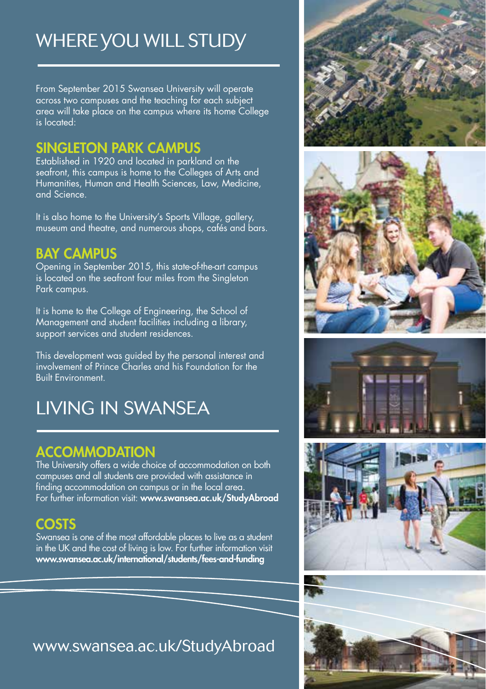## WHERE YOU WILL STUDY

From September 2015 Swansea University will operate across two campuses and the teaching for each subject area will take place on the campus where its home College is located:

### SINGLETON PARK CAMPUS

Established in 1920 and located in parkland on the seafront, this campus is home to the Colleges of Arts and Humanities, Human and Health Sciences, Law, Medicine, and Science.

It is also home to the University's Sports Village, gallery, museum and theatre, and numerous shops, cafés and bars.

### BAY CAMPUS

Opening in September 2015, this state-of-the-art campus is located on the seafront four miles from the Singleton Park campus.

It is home to the College of Engineering, the School of Management and student facilities including a library, support services and student residences.

This development was guided by the personal interest and involvement of Prince Charles and his Foundation for the Built Environment.

## LIVING IN SWANSEA

## **ACCOMMODATION**

The University offers a wide choice of accommodation on both campuses and all students are provided with assistance in finding accommodation on campus or in the local area. For further information visit: www.swansea.ac.uk/StudyAbroad

## COSTS

Swansea is one of the most affordable places to live as a student in the UK and the cost of living is low. For further information visit www.swansea.ac.uk/international/students/fees-and-funding

## www.swansea.ac.uk/StudyAbroad



![](_page_3_Picture_16.jpeg)

![](_page_3_Picture_17.jpeg)

![](_page_3_Picture_18.jpeg)

![](_page_3_Picture_19.jpeg)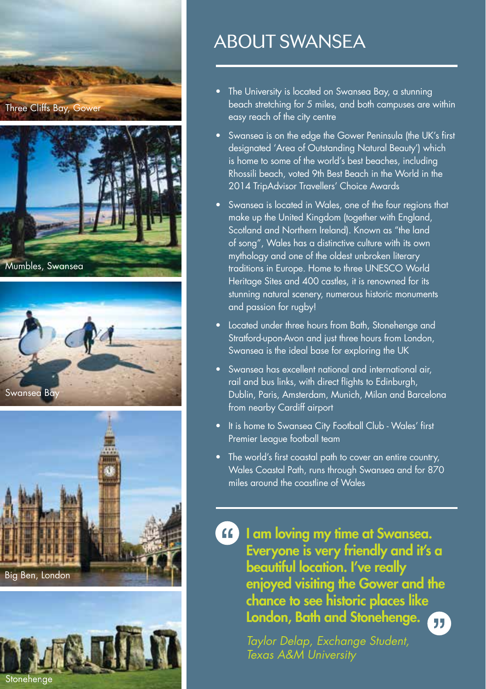![](_page_4_Picture_0.jpeg)

![](_page_4_Picture_1.jpeg)

![](_page_4_Picture_2.jpeg)

![](_page_4_Picture_3.jpeg)

![](_page_4_Picture_4.jpeg)

## ABOUT SWANSEA

- The University is located on Swansea Bay, a stunning beach stretching for 5 miles, and both campuses are within easy reach of the city centre
- Swansea is on the edge the Gower Peninsula (the UK's first designated 'Area of Outstanding Natural Beauty') which is home to some of the world's best beaches, including Rhossili beach, voted 9th Best Beach in the World in the 2014 TripAdvisor Travellers' Choice Awards
- Swansea is located in Wales, one of the four regions that make up the United Kingdom (together with England, Scotland and Northern Ireland). Known as "the land of song", Wales has a distinctive culture with its own mythology and one of the oldest unbroken literary traditions in Europe. Home to three UNESCO World Heritage Sites and 400 castles, it is renowned for its stunning natural scenery, numerous historic monuments and passion for rugby!
- Located under three hours from Bath, Stonehenge and Stratford-upon-Avon and just three hours from London, Swansea is the ideal base for exploring the UK
- Swansea has excellent national and international air, rail and bus links, with direct flights to Edinburgh, Dublin, Paris, Amsterdam, Munich, Milan and Barcelona from nearby Cardiff airport
- It is home to Swansea City Football Club Wales' first Premier League football team
- The world's first coastal path to cover an entire country, Wales Coastal Path, runs through Swansea and for 870 miles around the coastline of Wales

**If am loving my time at Swansea.** Everyone is very friendly and it's a beautiful location. I've really enjoyed visiting the Gower and the chance to see historic places like London, Bath and Stonehenge. 历

> *Taylor Delap, Exchange Student, Texas A&M University*